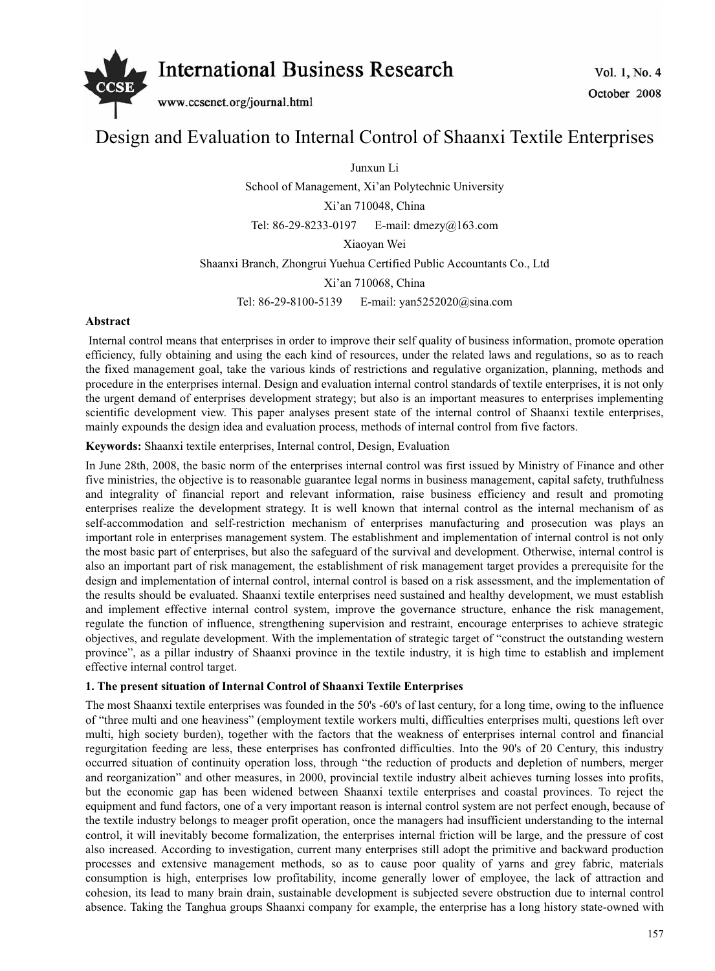

# Design and Evaluation to Internal Control of Shaanxi Textile Enterprises

Junxun Li

School of Management, Xi'an Polytechnic University

Xi'an 710048, China

Tel: 86-29-8233-0197 E-mail: dmezy@163.com

Xiaoyan Wei

Shaanxi Branch, Zhongrui Yuehua Certified Public Accountants Co., Ltd

Xi'an 710068, China

Tel: 86-29-8100-5139 E-mail: yan5252020@sina.com

#### **Abstract**

 Internal control means that enterprises in order to improve their self quality of business information, promote operation efficiency, fully obtaining and using the each kind of resources, under the related laws and regulations, so as to reach the fixed management goal, take the various kinds of restrictions and regulative organization, planning, methods and procedure in the enterprises internal. Design and evaluation internal control standards of textile enterprises, it is not only the urgent demand of enterprises development strategy; but also is an important measures to enterprises implementing scientific development view. This paper analyses present state of the internal control of Shaanxi textile enterprises, mainly expounds the design idea and evaluation process, methods of internal control from five factors.

**Keywords:** Shaanxi textile enterprises, Internal control, Design, Evaluation

In June 28th, 2008, the basic norm of the enterprises internal control was first issued by Ministry of Finance and other five ministries, the objective is to reasonable guarantee legal norms in business management, capital safety, truthfulness and integrality of financial report and relevant information, raise business efficiency and result and promoting enterprises realize the development strategy. It is well known that internal control as the internal mechanism of as self-accommodation and self-restriction mechanism of enterprises manufacturing and prosecution was plays an important role in enterprises management system. The establishment and implementation of internal control is not only the most basic part of enterprises, but also the safeguard of the survival and development. Otherwise, internal control is also an important part of risk management, the establishment of risk management target provides a prerequisite for the design and implementation of internal control, internal control is based on a risk assessment, and the implementation of the results should be evaluated. Shaanxi textile enterprises need sustained and healthy development, we must establish and implement effective internal control system, improve the governance structure, enhance the risk management, regulate the function of influence, strengthening supervision and restraint, encourage enterprises to achieve strategic objectives, and regulate development. With the implementation of strategic target of "construct the outstanding western province", as a pillar industry of Shaanxi province in the textile industry, it is high time to establish and implement effective internal control target.

# **1. The present situation of Internal Control of Shaanxi Textile Enterprises**

The most Shaanxi textile enterprises was founded in the 50's -60's of last century, for a long time, owing to the influence of "three multi and one heaviness" (employment textile workers multi, difficulties enterprises multi, questions left over multi, high society burden), together with the factors that the weakness of enterprises internal control and financial regurgitation feeding are less, these enterprises has confronted difficulties. Into the 90's of 20 Century, this industry occurred situation of continuity operation loss, through "the reduction of products and depletion of numbers, merger and reorganization" and other measures, in 2000, provincial textile industry albeit achieves turning losses into profits, but the economic gap has been widened between Shaanxi textile enterprises and coastal provinces. To reject the equipment and fund factors, one of a very important reason is internal control system are not perfect enough, because of the textile industry belongs to meager profit operation, once the managers had insufficient understanding to the internal control, it will inevitably become formalization, the enterprises internal friction will be large, and the pressure of cost also increased. According to investigation, current many enterprises still adopt the primitive and backward production processes and extensive management methods, so as to cause poor quality of yarns and grey fabric, materials consumption is high, enterprises low profitability, income generally lower of employee, the lack of attraction and cohesion, its lead to many brain drain, sustainable development is subjected severe obstruction due to internal control absence. Taking the Tanghua groups Shaanxi company for example, the enterprise has a long history state-owned with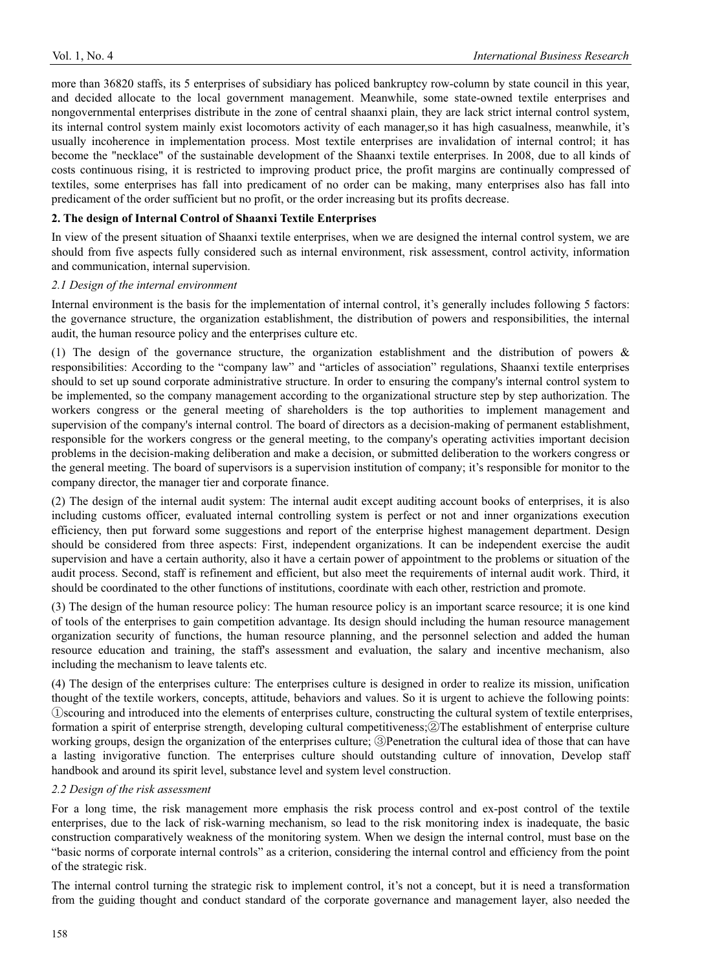more than 36820 staffs, its 5 enterprises of subsidiary has policed bankruptcy row-column by state council in this year, and decided allocate to the local government management. Meanwhile, some state-owned textile enterprises and nongovernmental enterprises distribute in the zone of central shaanxi plain, they are lack strict internal control system, its internal control system mainly exist locomotors activity of each manager,so it has high casualness, meanwhile, it's usually incoherence in implementation process. Most textile enterprises are invalidation of internal control; it has become the "necklace" of the sustainable development of the Shaanxi textile enterprises. In 2008, due to all kinds of costs continuous rising, it is restricted to improving product price, the profit margins are continually compressed of textiles, some enterprises has fall into predicament of no order can be making, many enterprises also has fall into predicament of the order sufficient but no profit, or the order increasing but its profits decrease.

#### **2. The design of Internal Control of Shaanxi Textile Enterprises**

In view of the present situation of Shaanxi textile enterprises, when we are designed the internal control system, we are should from five aspects fully considered such as internal environment, risk assessment, control activity, information and communication, internal supervision.

## *2.1 Design of the internal environment*

Internal environment is the basis for the implementation of internal control, it's generally includes following 5 factors: the governance structure, the organization establishment, the distribution of powers and responsibilities, the internal audit, the human resource policy and the enterprises culture etc.

(1) The design of the governance structure, the organization establishment and the distribution of powers & responsibilities: According to the "company law" and "articles of association" regulations, Shaanxi textile enterprises should to set up sound corporate administrative structure. In order to ensuring the company's internal control system to be implemented, so the company management according to the organizational structure step by step authorization. The workers congress or the general meeting of shareholders is the top authorities to implement management and supervision of the company's internal control. The board of directors as a decision-making of permanent establishment, responsible for the workers congress or the general meeting, to the company's operating activities important decision problems in the decision-making deliberation and make a decision, or submitted deliberation to the workers congress or the general meeting. The board of supervisors is a supervision institution of company; it's responsible for monitor to the company director, the manager tier and corporate finance.

(2) The design of the internal audit system: The internal audit except auditing account books of enterprises, it is also including customs officer, evaluated internal controlling system is perfect or not and inner organizations execution efficiency, then put forward some suggestions and report of the enterprise highest management department. Design should be considered from three aspects: First, independent organizations. It can be independent exercise the audit supervision and have a certain authority, also it have a certain power of appointment to the problems or situation of the audit process. Second, staff is refinement and efficient, but also meet the requirements of internal audit work. Third, it should be coordinated to the other functions of institutions, coordinate with each other, restriction and promote.

(3) The design of the human resource policy: The human resource policy is an important scarce resource; it is one kind of tools of the enterprises to gain competition advantage. Its design should including the human resource management organization security of functions, the human resource planning, and the personnel selection and added the human resource education and training, the staff's assessment and evaluation, the salary and incentive mechanism, also including the mechanism to leave talents etc.

(4) The design of the enterprises culture: The enterprises culture is designed in order to realize its mission, unification thought of the textile workers, concepts, attitude, behaviors and values. So it is urgent to achieve the following points: ķscouring and introduced into the elements of enterprises culture, constructing the cultural system of textile enterprises, formation a spirit of enterprise strength, developing cultural competitiveness; @The establishment of enterprise culture working groups, design the organization of the enterprises culture; **We netration** the cultural idea of those that can have a lasting invigorative function. The enterprises culture should outstanding culture of innovation, Develop staff handbook and around its spirit level, substance level and system level construction.

#### *2.2 Design of the risk assessment*

For a long time, the risk management more emphasis the risk process control and ex-post control of the textile enterprises, due to the lack of risk-warning mechanism, so lead to the risk monitoring index is inadequate, the basic construction comparatively weakness of the monitoring system. When we design the internal control, must base on the "basic norms of corporate internal controls" as a criterion, considering the internal control and efficiency from the point of the strategic risk.

The internal control turning the strategic risk to implement control, it's not a concept, but it is need a transformation from the guiding thought and conduct standard of the corporate governance and management layer, also needed the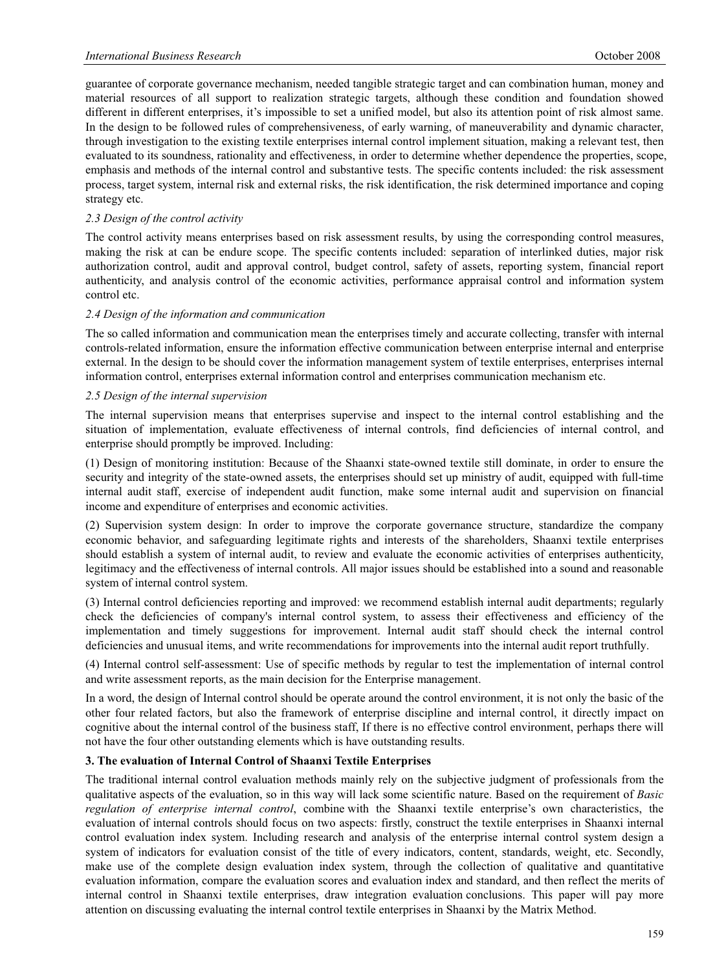guarantee of corporate governance mechanism, needed tangible strategic target and can combination human, money and material resources of all support to realization strategic targets, although these condition and foundation showed different in different enterprises, it's impossible to set a unified model, but also its attention point of risk almost same. In the design to be followed rules of comprehensiveness, of early warning, of maneuverability and dynamic character, through investigation to the existing textile enterprises internal control implement situation, making a relevant test, then evaluated to its soundness, rationality and effectiveness, in order to determine whether dependence the properties, scope, emphasis and methods of the internal control and substantive tests. The specific contents included: the risk assessment process, target system, internal risk and external risks, the risk identification, the risk determined importance and coping strategy etc.

# *2.3 Design of the control activity*

The control activity means enterprises based on risk assessment results, by using the corresponding control measures, making the risk at can be endure scope. The specific contents included: separation of interlinked duties, major risk authorization control, audit and approval control, budget control, safety of assets, reporting system, financial report authenticity, and analysis control of the economic activities, performance appraisal control and information system control etc.

#### *2.4 Design of the information and communication*

The so called information and communication mean the enterprises timely and accurate collecting, transfer with internal controls-related information, ensure the information effective communication between enterprise internal and enterprise external. In the design to be should cover the information management system of textile enterprises, enterprises internal information control, enterprises external information control and enterprises communication mechanism etc.

## *2.5 Design of the internal supervision*

The internal supervision means that enterprises supervise and inspect to the internal control establishing and the situation of implementation, evaluate effectiveness of internal controls, find deficiencies of internal control, and enterprise should promptly be improved. Including:

(1) Design of monitoring institution: Because of the Shaanxi state-owned textile still dominate, in order to ensure the security and integrity of the state-owned assets, the enterprises should set up ministry of audit, equipped with full-time internal audit staff, exercise of independent audit function, make some internal audit and supervision on financial income and expenditure of enterprises and economic activities.

(2) Supervision system design: In order to improve the corporate governance structure, standardize the company economic behavior, and safeguarding legitimate rights and interests of the shareholders, Shaanxi textile enterprises should establish a system of internal audit, to review and evaluate the economic activities of enterprises authenticity, legitimacy and the effectiveness of internal controls. All major issues should be established into a sound and reasonable system of internal control system.

(3) Internal control deficiencies reporting and improved: we recommend establish internal audit departments; regularly check the deficiencies of company's internal control system, to assess their effectiveness and efficiency of the implementation and timely suggestions for improvement. Internal audit staff should check the internal control deficiencies and unusual items, and write recommendations for improvements into the internal audit report truthfully.

(4) Internal control self-assessment: Use of specific methods by regular to test the implementation of internal control and write assessment reports, as the main decision for the Enterprise management.

In a word, the design of Internal control should be operate around the control environment, it is not only the basic of the other four related factors, but also the framework of enterprise discipline and internal control, it directly impact on cognitive about the internal control of the business staff, If there is no effective control environment, perhaps there will not have the four other outstanding elements which is have outstanding results.

# **3. The evaluation of Internal Control of Shaanxi Textile Enterprises**

The traditional internal control evaluation methods mainly rely on the subjective judgment of professionals from the qualitative aspects of the evaluation, so in this way will lack some scientific nature. Based on the requirement of *Basic regulation of enterprise internal control*, combine with the Shaanxi textile enterprise's own characteristics, the evaluation of internal controls should focus on two aspects: firstly, construct the textile enterprises in Shaanxi internal control evaluation index system. Including research and analysis of the enterprise internal control system design a system of indicators for evaluation consist of the title of every indicators, content, standards, weight, etc. Secondly, make use of the complete design evaluation index system, through the collection of qualitative and quantitative evaluation information, compare the evaluation scores and evaluation index and standard, and then reflect the merits of internal control in Shaanxi textile enterprises, draw integration evaluation conclusions. This paper will pay more attention on discussing evaluating the internal control textile enterprises in Shaanxi by the Matrix Method.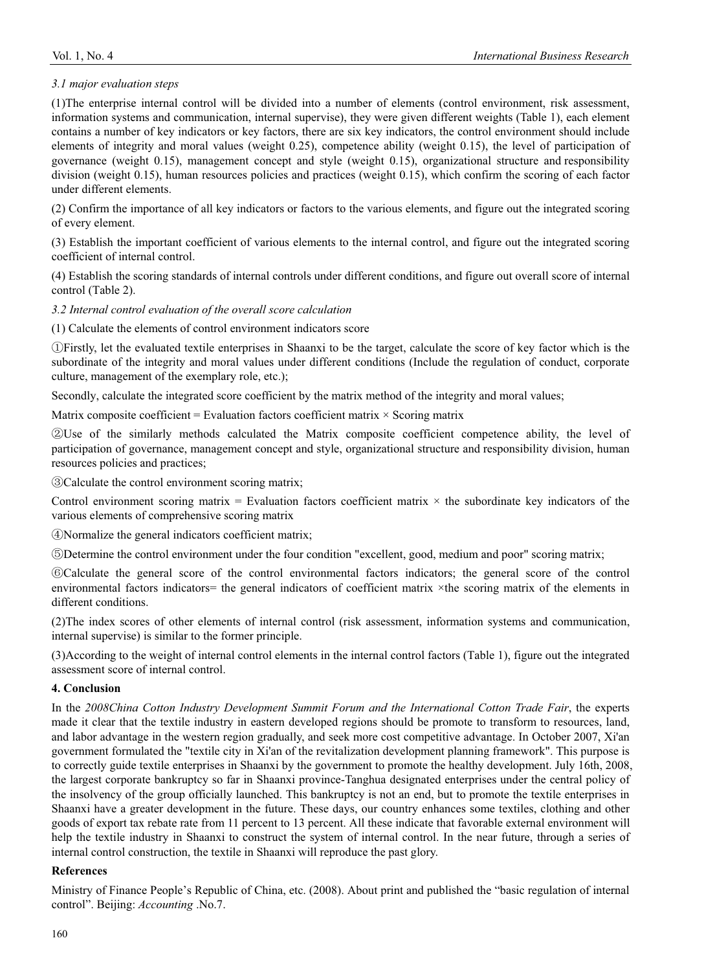# *3.1 major evaluation steps*

(1)The enterprise internal control will be divided into a number of elements (control environment, risk assessment, information systems and communication, internal supervise), they were given different weights (Table 1), each element contains a number of key indicators or key factors, there are six key indicators, the control environment should include elements of integrity and moral values (weight 0.25), competence ability (weight 0.15), the level of participation of governance (weight 0.15), management concept and style (weight 0.15), organizational structure and responsibility division (weight 0.15), human resources policies and practices (weight 0.15), which confirm the scoring of each factor under different elements.

(2) Confirm the importance of all key indicators or factors to the various elements, and figure out the integrated scoring of every element.

(3) Establish the important coefficient of various elements to the internal control, and figure out the integrated scoring coefficient of internal control.

(4) Establish the scoring standards of internal controls under different conditions, and figure out overall score of internal control (Table 2).

*3.2 Internal control evaluation of the overall score calculation* 

(1) Calculate the elements of control environment indicators score

ķFirstly, let the evaluated textile enterprises in Shaanxi to be the target, calculate the score of key factor which is the subordinate of the integrity and moral values under different conditions (Include the regulation of conduct, corporate culture, management of the exemplary role, etc.);

Secondly, calculate the integrated score coefficient by the matrix method of the integrity and moral values;

Matrix composite coefficient = Evaluation factors coefficient matrix  $\times$  Scoring matrix

(2) Use of the similarly methods calculated the Matrix composite coefficient competence ability, the level of participation of governance, management concept and style, organizational structure and responsibility division, human resources policies and practices;

**Example 13** Calculate the control environment scoring matrix;

Control environment scoring matrix  $=$  Evaluation factors coefficient matrix  $\times$  the subordinate key indicators of the various elements of comprehensive scoring matrix

ĺNormalize the general indicators coefficient matrix;

ĻDetermine the control environment under the four condition "excellent, good, medium and poor" scoring matrix;

ļCalculate the general score of the control environmental factors indicators; the general score of the control environmental factors indicators= the general indicators of coefficient matrix ×the scoring matrix of the elements in different conditions.

(2)The index scores of other elements of internal control (risk assessment, information systems and communication, internal supervise) is similar to the former principle.

(3)According to the weight of internal control elements in the internal control factors (Table 1), figure out the integrated assessment score of internal control.

# **4. Conclusion**

In the *2008China Cotton Industry Development Summit Forum and the International Cotton Trade Fair*, the experts made it clear that the textile industry in eastern developed regions should be promote to transform to resources, land, and labor advantage in the western region gradually, and seek more cost competitive advantage. In October 2007, Xi'an government formulated the "textile city in Xi'an of the revitalization development planning framework". This purpose is to correctly guide textile enterprises in Shaanxi by the government to promote the healthy development. July 16th, 2008, the largest corporate bankruptcy so far in Shaanxi province-Tanghua designated enterprises under the central policy of the insolvency of the group officially launched. This bankruptcy is not an end, but to promote the textile enterprises in Shaanxi have a greater development in the future. These days, our country enhances some textiles, clothing and other goods of export tax rebate rate from 11 percent to 13 percent. All these indicate that favorable external environment will help the textile industry in Shaanxi to construct the system of internal control. In the near future, through a series of internal control construction, the textile in Shaanxi will reproduce the past glory.

# **References**

Ministry of Finance People's Republic of China, etc. (2008). About print and published the "basic regulation of internal control". Beijing: *Accounting* .No.7.